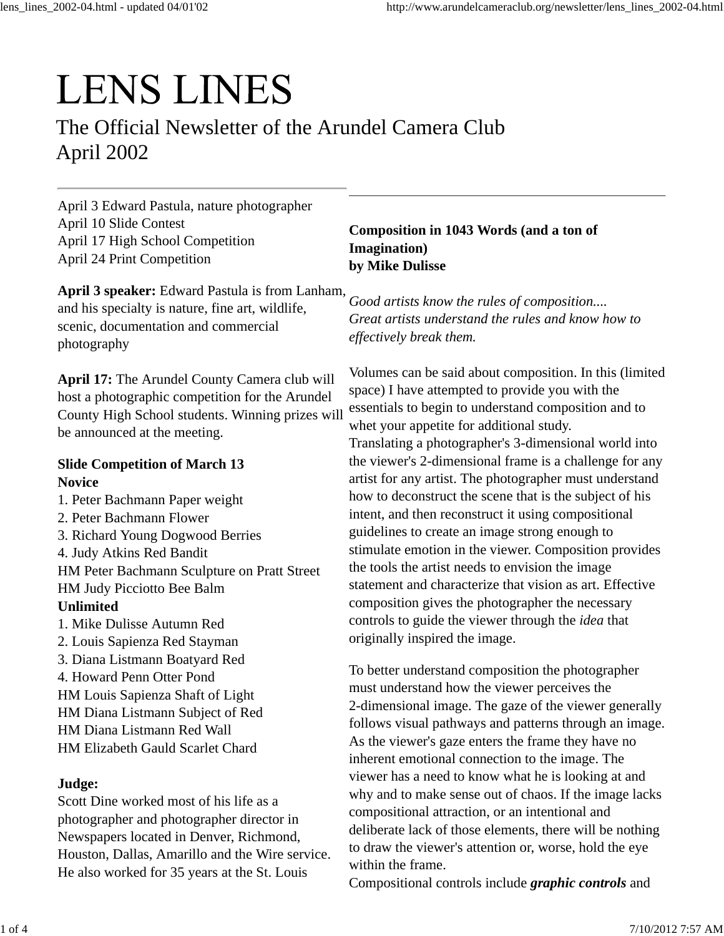# **LENS LINES**

# The Official Newsletter of the Arundel Camera Club April 2002

April 3 Edward Pastula, nature photographer April 10 Slide Contest April 17 High School Competition April 24 Print Competition

**April 3 speaker:** Edward Pastula is from Lanham, and his specialty is nature, fine art, wildlife, scenic, documentation and commercial photography

**April 17:** The Arundel County Camera club will host a photographic competition for the Arundel County High School students. Winning prizes will be announced at the meeting.

# **Slide Competition of March 13 Novice**

1. Peter Bachmann Paper weight 2. Peter Bachmann Flower 3. Richard Young Dogwood Berries 4. Judy Atkins Red Bandit HM Peter Bachmann Sculpture on Pratt Street HM Judy Picciotto Bee Balm **Unlimited**

- 1. Mike Dulisse Autumn Red
- 2. Louis Sapienza Red Stayman
- 3. Diana Listmann Boatyard Red
- 4. Howard Penn Otter Pond
- HM Louis Sapienza Shaft of Light

HM Diana Listmann Subject of Red HM Diana Listmann Red Wall HM Elizabeth Gauld Scarlet Chard

#### **Judge:**

Scott Dine worked most of his life as a photographer and photographer director in Newspapers located in Denver, Richmond, Houston, Dallas, Amarillo and the Wire service. He also worked for 35 years at the St. Louis

# **Composition in 1043 Words (and a ton of Imagination) by Mike Dulisse**

*Good artists know the rules of composition.... Great artists understand the rules and know how to effectively break them.*

Volumes can be said about composition. In this (limited space) I have attempted to provide you with the essentials to begin to understand composition and to whet your appetite for additional study. Translating a photographer's 3-dimensional world into the viewer's 2-dimensional frame is a challenge for any artist for any artist. The photographer must understand how to deconstruct the scene that is the subject of his intent, and then reconstruct it using compositional guidelines to create an image strong enough to stimulate emotion in the viewer. Composition provides the tools the artist needs to envision the image statement and characterize that vision as art. Effective composition gives the photographer the necessary controls to guide the viewer through the *idea* that originally inspired the image.

To better understand composition the photographer must understand how the viewer perceives the 2-dimensional image. The gaze of the viewer generally follows visual pathways and patterns through an image. As the viewer's gaze enters the frame they have no inherent emotional connection to the image. The viewer has a need to know what he is looking at and why and to make sense out of chaos. If the image lacks compositional attraction, or an intentional and deliberate lack of those elements, there will be nothing to draw the viewer's attention or, worse, hold the eye within the frame.

Compositional controls include *graphic controls* and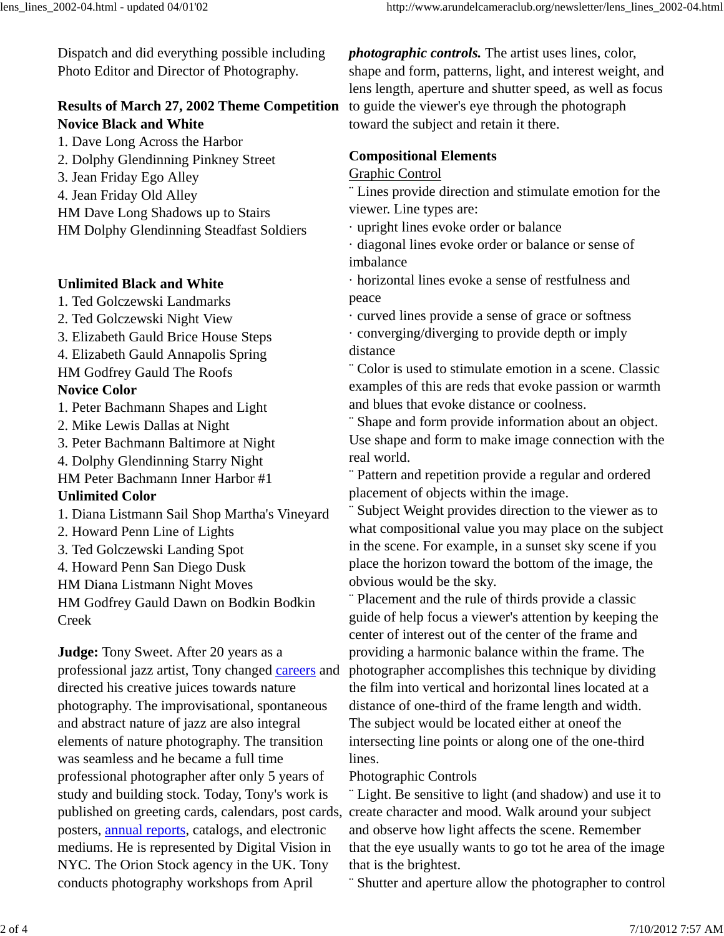Dispatch and did everything possible including Photo Editor and Director of Photography.

# **Results of March 27, 2002 Theme Competition Novice Black and White**

1. Dave Long Across the Harbor 2. Dolphy Glendinning Pinkney Street 3. Jean Friday Ego Alley 4. Jean Friday Old Alley HM Dave Long Shadows up to Stairs HM Dolphy Glendinning Steadfast Soldiers

#### **Unlimited Black and White**

1. Ted Golczewski Landmarks

- 2. Ted Golczewski Night View
- 3. Elizabeth Gauld Brice House Steps
- 4. Elizabeth Gauld Annapolis Spring

HM Godfrey Gauld The Roofs

#### **Novice Color**

1. Peter Bachmann Shapes and Light

- 2. Mike Lewis Dallas at Night
- 3. Peter Bachmann Baltimore at Night
- 4. Dolphy Glendinning Starry Night

HM Peter Bachmann Inner Harbor #1

#### **Unlimited Color**

- 1. Diana Listmann Sail Shop Martha's Vineyard
- 2. Howard Penn Line of Lights
- 3. Ted Golczewski Landing Spot
- 4. Howard Penn San Diego Dusk
- HM Diana Listmann Night Moves

HM Godfrey Gauld Dawn on Bodkin Bodkin Creek

**Judge:** Tony Sweet. After 20 years as a professional jazz artist, Tony changed careers and directed his creative juices towards nature photography. The improvisational, spontaneous and abstract nature of jazz are also integral elements of nature photography. The transition was seamless and he became a full time professional photographer after only 5 years of study and building stock. Today, Tony's work is published on greeting cards, calendars, post cards, posters, annual reports, catalogs, and electronic mediums. He is represented by Digital Vision in NYC. The Orion Stock agency in the UK. Tony conducts photography workshops from April

*photographic controls.* The artist uses lines, color, shape and form, patterns, light, and interest weight, and lens length, aperture and shutter speed, as well as focus to guide the viewer's eye through the photograph toward the subject and retain it there.

# **Compositional Elements**

Graphic Control

¨ Lines provide direction and stimulate emotion for the viewer. Line types are:

· upright lines evoke order or balance

· diagonal lines evoke order or balance or sense of imbalance

· horizontal lines evoke a sense of restfulness and peace

· curved lines provide a sense of grace or softness

· converging/diverging to provide depth or imply distance

¨ Color is used to stimulate emotion in a scene. Classic examples of this are reds that evoke passion or warmth and blues that evoke distance or coolness.

¨ Shape and form provide information about an object. Use shape and form to make image connection with the real world.

¨ Pattern and repetition provide a regular and ordered placement of objects within the image.

¨ Subject Weight provides direction to the viewer as to what compositional value you may place on the subject in the scene. For example, in a sunset sky scene if you place the horizon toward the bottom of the image, the obvious would be the sky.

¨ Placement and the rule of thirds provide a classic guide of help focus a viewer's attention by keeping the center of interest out of the center of the frame and providing a harmonic balance within the frame. The photographer accomplishes this technique by dividing the film into vertical and horizontal lines located at a distance of one-third of the frame length and width. The subject would be located either at oneof the intersecting line points or along one of the one-third lines.

Photographic Controls

¨ Light. Be sensitive to light (and shadow) and use it to create character and mood. Walk around your subject and observe how light affects the scene. Remember that the eye usually wants to go tot he area of the image that is the brightest.

¨ Shutter and aperture allow the photographer to control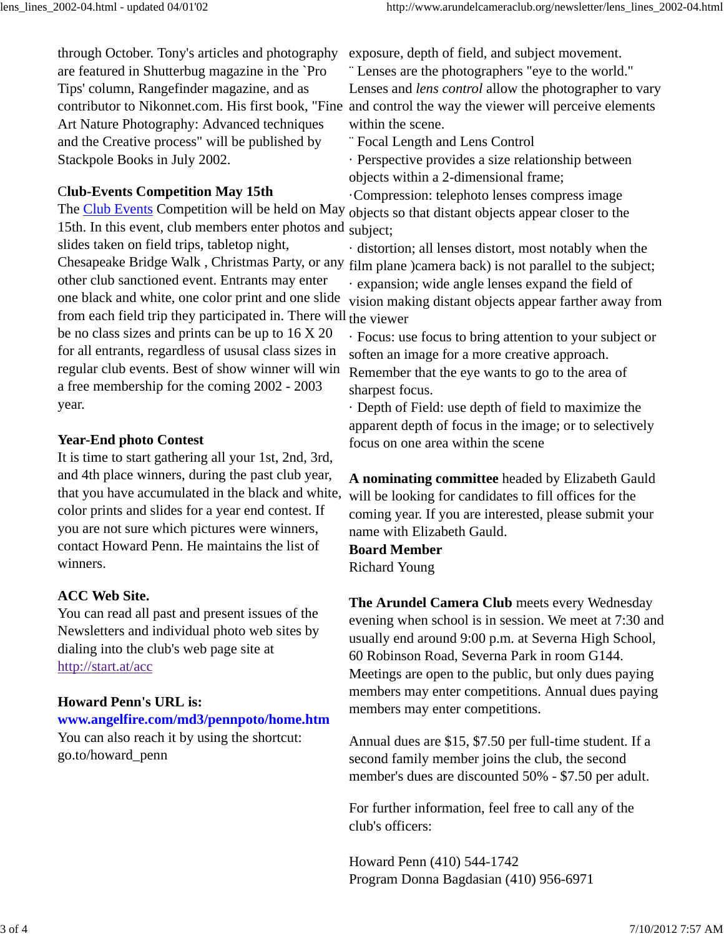through October. Tony's articles and photography are featured in Shutterbug magazine in the `Pro Tips' column, Rangefinder magazine, and as Art Nature Photography: Advanced techniques and the Creative process" will be published by Stackpole Books in July 2002.

# C**lub-Events Competition May 15th**

The Club Events Competition will be held on May objects so that distant objects appear closer to the 15th. In this event, club members enter photos and subject; slides taken on field trips, tabletop night, other club sanctioned event. Entrants may enter one black and white, one color print and one slide from each field trip they participated in. There will the viewer be no class sizes and prints can be up to 16 X 20 for all entrants, regardless of ususal class sizes in regular club events. Best of show winner will win

a free membership for the coming 2002 - 2003 year.

# **Year-End photo Contest**

It is time to start gathering all your 1st, 2nd, 3rd, and 4th place winners, during the past club year, that you have accumulated in the black and white, color prints and slides for a year end contest. If you are not sure which pictures were winners, contact Howard Penn. He maintains the list of winners.

# **ACC Web Site.**

You can read all past and present issues of the Newsletters and individual photo web sites by dialing into the club's web page site at http://start.at/acc

# **Howard Penn's URL is:**

#### **www.angelfire.com/md3/pennpoto/home.htm**

You can also reach it by using the shortcut: go.to/howard\_penn

exposure, depth of field, and subject movement.

contributor to Nikonnet.com. His first book, "Fine and control the way the viewer will perceive elements ¨ Lenses are the photographers "eye to the world." Lenses and *lens control* allow the photographer to vary within the scene.

¨ Focal Length and Lens Control

· Perspective provides a size relationship between objects within a 2-dimensional frame;

·Compression: telephoto lenses compress image

Chesapeake Bridge Walk , Christmas Party, or any film plane )camera back) is not parallel to the subject; · distortion; all lenses distort, most notably when the · expansion; wide angle lenses expand the field of vision making distant objects appear farther away from

> · Focus: use focus to bring attention to your subject or soften an image for a more creative approach. Remember that the eye wants to go to the area of sharpest focus.

> · Depth of Field: use depth of field to maximize the apparent depth of focus in the image; or to selectively focus on one area within the scene

> **A nominating committee** headed by Elizabeth Gauld will be looking for candidates to fill offices for the coming year. If you are interested, please submit your name with Elizabeth Gauld.

**Board Member** Richard Young

**The Arundel Camera Club** meets every Wednesday evening when school is in session. We meet at 7:30 and usually end around 9:00 p.m. at Severna High School, 60 Robinson Road, Severna Park in room G144. Meetings are open to the public, but only dues paying members may enter competitions. Annual dues paying members may enter competitions.

Annual dues are \$15, \$7.50 per full-time student. If a second family member joins the club, the second member's dues are discounted 50% - \$7.50 per adult.

For further information, feel free to call any of the club's officers:

Howard Penn (410) 544-1742 Program Donna Bagdasian (410) 956-6971